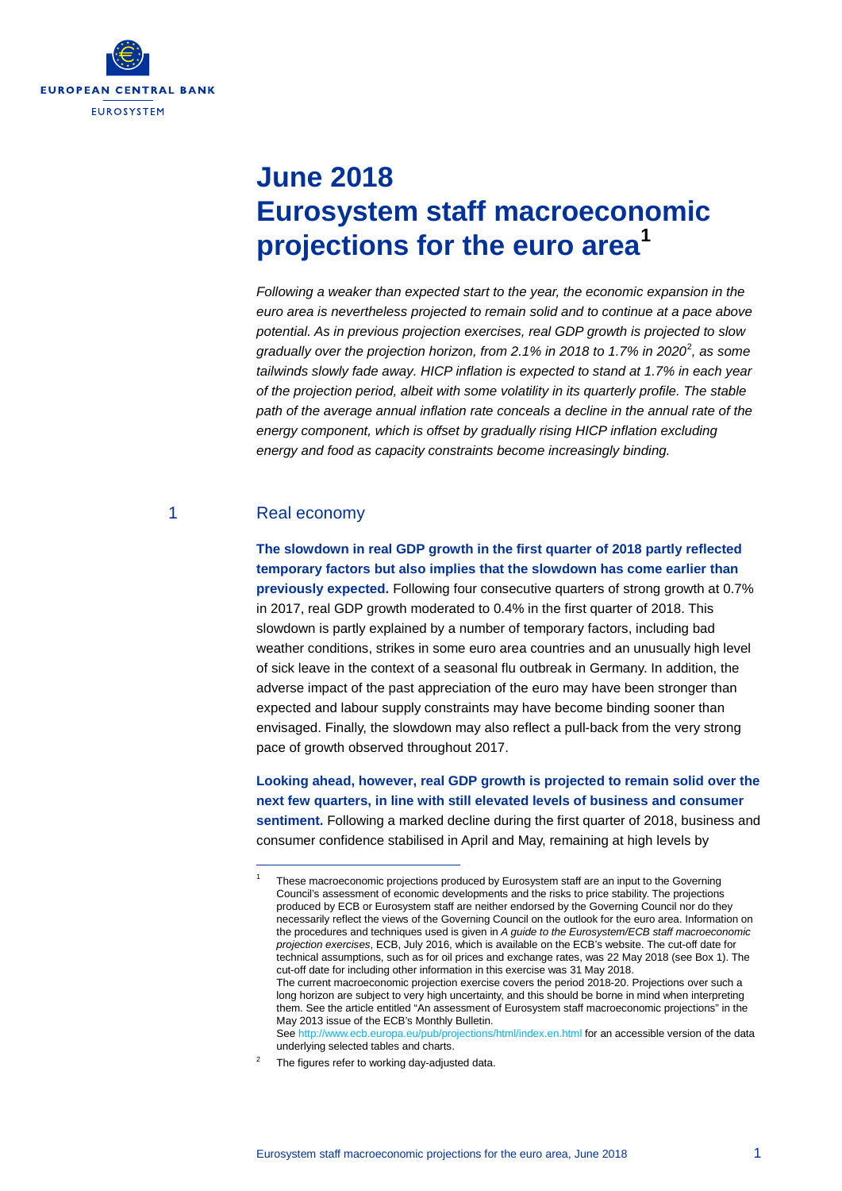

# **June 2018 Eurosystem staff macroeconomic projections for the euro area[1](#page-0-0)**

*Following a weaker than expected start to the year, the economic expansion in the euro area is nevertheless projected to remain solid and to continue at a pace above potential. As in previous projection exercises, real GDP growth is projected to slow gradually over the projection horizon, from 2.1% in 2018 to 1.7% in 2020*[2](#page-0-1) *, as some tailwinds slowly fade away. HICP inflation is expected to stand at 1.7% in each year of the projection period, albeit with some volatility in its quarterly profile. The stable path of the average annual inflation rate conceals a decline in the annual rate of the energy component, which is offset by gradually rising HICP inflation excluding energy and food as capacity constraints become increasingly binding.*

# 1 Real economy

<span id="page-0-0"></span>-

**The slowdown in real GDP growth in the first quarter of 2018 partly reflected temporary factors but also implies that the slowdown has come earlier than previously expected.** Following four consecutive quarters of strong growth at 0.7% in 2017, real GDP growth moderated to 0.4% in the first quarter of 2018. This slowdown is partly explained by a number of temporary factors, including bad weather conditions, strikes in some euro area countries and an unusually high level of sick leave in the context of a seasonal flu outbreak in Germany. In addition, the adverse impact of the past appreciation of the euro may have been stronger than expected and labour supply constraints may have become binding sooner than envisaged. Finally, the slowdown may also reflect a pull-back from the very strong pace of growth observed throughout 2017.

**Looking ahead, however, real GDP growth is projected to remain solid over the next few quarters, in line with still elevated levels of business and consumer sentiment.** Following a marked decline during the first quarter of 2018, business and consumer confidence stabilised in April and May, remaining at high levels by

<span id="page-0-1"></span>The figures refer to working day-adjusted data.

These macroeconomic projections produced by Eurosystem staff are an input to the Governing Council's assessment of economic developments and the risks to price stability. The projections produced by ECB or Eurosystem staff are neither endorsed by the Governing Council nor do they necessarily reflect the views of the Governing Council on the outlook for the euro area. Information on the procedures and techniques used is given in *A guide to the Eurosystem/ECB staff macroeconomic projection exercises*, ECB, July 2016, which is available on the ECB's website. The cut-off date for technical assumptions, such as for oil prices and exchange rates, was 22 May 2018 (see Box 1). The cut-off date for including other information in this exercise was 31 May 2018. The current macroeconomic projection exercise covers the period 2018-20. Projections over such a long horizon are subject to very high uncertainty, and this should be borne in mind when interpreting them. See the article entitled "An assessment of Eurosystem staff macroeconomic projections" in the May 2013 issue of the ECB's Monthly Bulletin. Se[e http://www.ecb.europa.eu/pub/projections/html/index.en.html](http://www.ecb.europa.eu/pub/projections/html/index.en.html) for an accessible version of the data underlying selected tables and charts.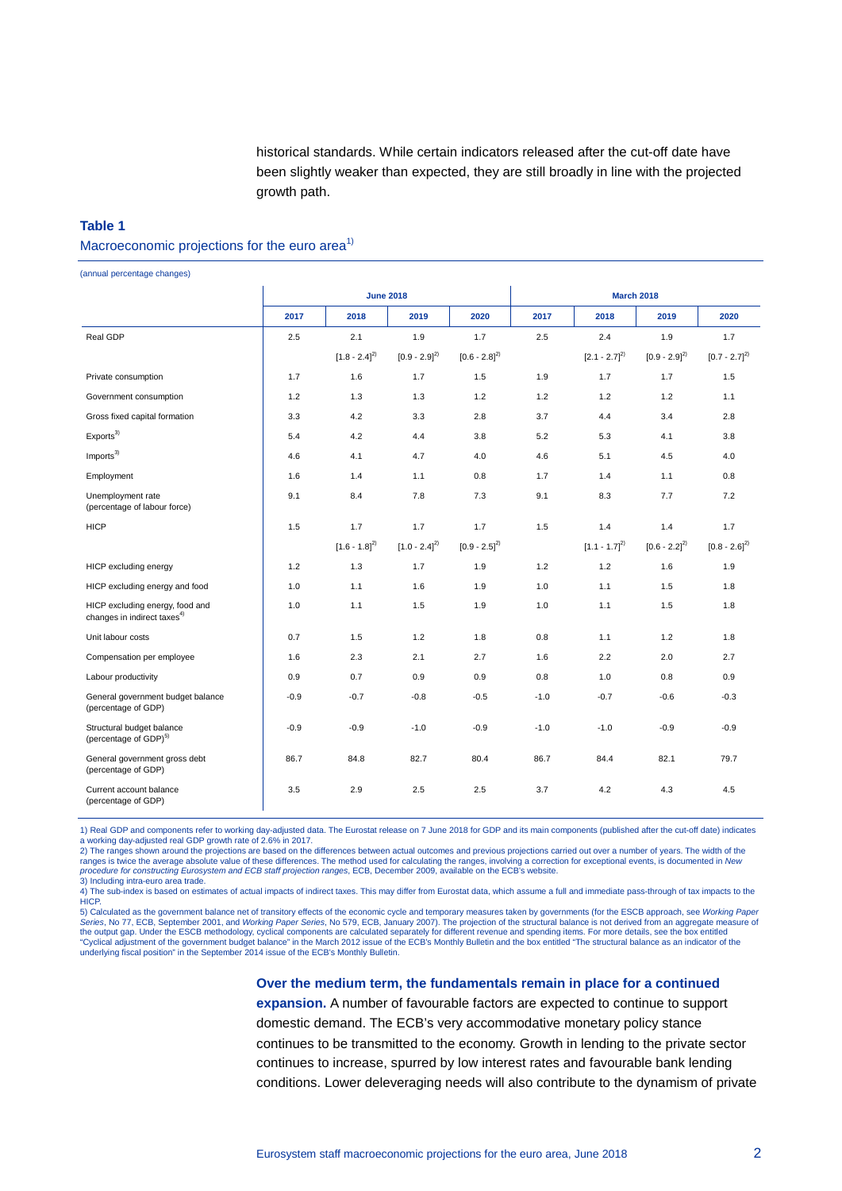historical standards. While certain indicators released after the cut-off date have been slightly weaker than expected, they are still broadly in line with the projected growth path.

#### **Table 1**

#### Macroeconomic projections for the euro area<sup>1)</sup>

(annual percentage changes)

|                                                                            |        | <b>June 2018</b>  |                   |                   |        | <b>March 2018</b> |                   |                   |  |  |
|----------------------------------------------------------------------------|--------|-------------------|-------------------|-------------------|--------|-------------------|-------------------|-------------------|--|--|
|                                                                            | 2017   | 2018              | 2019              | 2020              | 2017   | 2018              | 2019              | 2020              |  |  |
| Real GDP                                                                   | 2.5    | 2.1               | 1.9               | 1.7               | 2.5    | 2.4               | 1.9               | 1.7               |  |  |
|                                                                            |        | $[1.8 - 2.4]^{2}$ | $[0.9 - 2.9]^{2}$ | $[0.6 - 2.8]^{2}$ |        | $[2.1 - 2.7]^{2}$ | $[0.9 - 2.9]^{2}$ | $[0.7 - 2.7]^{2}$ |  |  |
| Private consumption                                                        | 1.7    | 1.6               | 1.7               | 1.5               | 1.9    | 1.7               | 1.7               | 1.5               |  |  |
| Government consumption                                                     | 1.2    | 1.3               | 1.3               | 1.2               | 1.2    | 1.2               | 1.2               | 1.1               |  |  |
| Gross fixed capital formation                                              | 3.3    | 4.2               | 3.3               | 2.8               | 3.7    | 4.4               | 3.4               | 2.8               |  |  |
| Exports <sup>3</sup>                                                       | 5.4    | 4.2               | 4.4               | 3.8               | 5.2    | 5.3               | 4.1               | 3.8               |  |  |
| Imports <sup>3)</sup>                                                      | 4.6    | 4.1               | 4.7               | 4.0               | 4.6    | 5.1               | 4.5               | 4.0               |  |  |
| Employment                                                                 | 1.6    | 1.4               | 1.1               | 0.8               | 1.7    | 1.4               | 1.1               | 0.8               |  |  |
| Unemployment rate<br>(percentage of labour force)                          | 9.1    | 8.4               | 7.8               | 7.3               | 9.1    | 8.3               | 7.7               | 7.2               |  |  |
| <b>HICP</b>                                                                | 1.5    | 1.7               | 1.7               | 1.7               | 1.5    | 1.4               | 1.4               | 1.7               |  |  |
|                                                                            |        | $[1.6 - 1.8]^{2}$ | $[1.0 - 2.4]^{2}$ | $[0.9 - 2.5]^{2}$ |        | $[1.1 - 1.7]^{2}$ | $[0.6 - 2.2]^{2}$ | $[0.8 - 2.6]^{2}$ |  |  |
| HICP excluding energy                                                      | 1.2    | 1.3               | 1.7               | 1.9               | 1.2    | 1.2               | 1.6               | 1.9               |  |  |
| HICP excluding energy and food                                             | 1.0    | 1.1               | 1.6               | 1.9               | 1.0    | 1.1               | 1.5               | 1.8               |  |  |
| HICP excluding energy, food and<br>changes in indirect taxes <sup>4)</sup> | 1.0    | 1.1               | 1.5               | 1.9               | 1.0    | 1.1               | 1.5               | 1.8               |  |  |
| Unit labour costs                                                          | 0.7    | 1.5               | 1.2               | 1.8               | 0.8    | 1.1               | 1.2               | 1.8               |  |  |
| Compensation per employee                                                  | 1.6    | 2.3               | 2.1               | 2.7               | 1.6    | 2.2               | 2.0               | 2.7               |  |  |
| Labour productivity                                                        | 0.9    | 0.7               | 0.9               | 0.9               | 0.8    | 1.0               | 0.8               | 0.9               |  |  |
| General government budget balance<br>(percentage of GDP)                   | $-0.9$ | $-0.7$            | $-0.8$            | $-0.5$            | $-1.0$ | $-0.7$            | $-0.6$            | $-0.3$            |  |  |
| Structural budget balance<br>(percentage of GDP) <sup>5)</sup>             | $-0.9$ | $-0.9$            | $-1.0$            | $-0.9$            | $-1.0$ | $-1.0$            | $-0.9$            | $-0.9$            |  |  |
| General government gross debt<br>(percentage of GDP)                       | 86.7   | 84.8              | 82.7              | 80.4              | 86.7   | 84.4              | 82.1              | 79.7              |  |  |
| Current account balance<br>(percentage of GDP)                             | 3.5    | 2.9               | 2.5               | 2.5               | 3.7    | 4.2               | 4.3               | 4.5               |  |  |

1) Real GDP and components refer to working day-adjusted data. The Eurostat release on 7 June 2018 for GDP and its main components (published after the cut-off date) indicates working day-adjusted real GDP growth rate of 2.6% in 2017.

2) The ranges shown around the projections are based on the differences between actual outcomes and previous projections carried out over a number of years. The width of the ranges is twice the average absolute value of these differences. The method used for calculating the ranges, involving a correction for exceptional events, is documented in *New*<br>*procedure for constructing Eurosystem and* 3) Including intra-euro area trade.

4) The sub-index is based on estimates of actual impacts of indirect taxes. This may differ from Eurostat data, which assume a full and immediate pass-through of tax impacts to the HICP.

5) Calculated as the government balance net of transitory effects of the economic cycle and temporary measures taken by governments (for the ESCB approach, see *Working Paper*<br>Ser*ies*, No 77, ECB, September 2001, and *Wor* the output gap. Under the ESCB methodology, cyclical components are calculated separately for different revenue and spending items. For more details, see the box entitled<br>"Cyclical adjustment of the government budget balan underlying fiscal position" in the September 2014 issue of the ECB's Monthly Bulletin.

> **Over the medium term, the fundamentals remain in place for a continued expansion.** A number of favourable factors are expected to continue to support domestic demand. The ECB's very accommodative monetary policy stance continues to be transmitted to the economy. Growth in lending to the private sector continues to increase, spurred by low interest rates and favourable bank lending conditions. Lower deleveraging needs will also contribute to the dynamism of private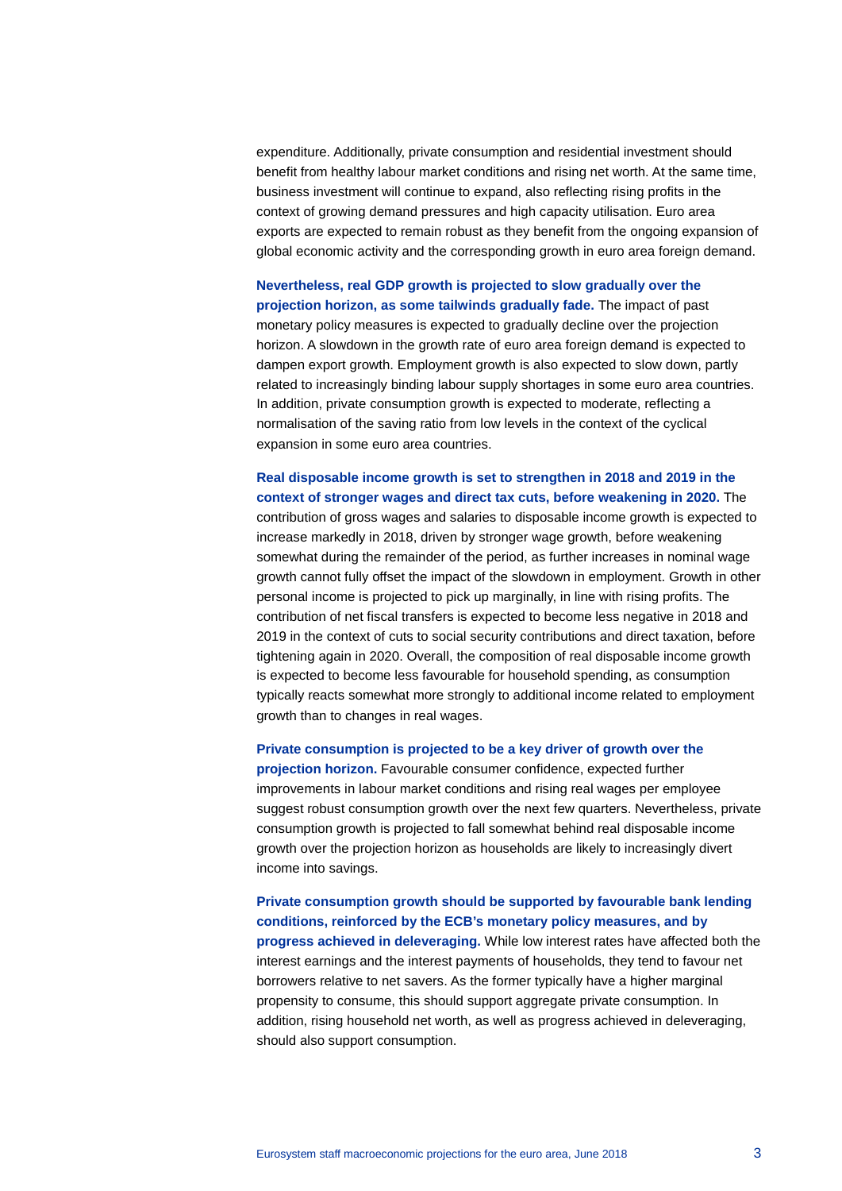expenditure. Additionally, private consumption and residential investment should benefit from healthy labour market conditions and rising net worth. At the same time, business investment will continue to expand, also reflecting rising profits in the context of growing demand pressures and high capacity utilisation. Euro area exports are expected to remain robust as they benefit from the ongoing expansion of global economic activity and the corresponding growth in euro area foreign demand.

**Nevertheless, real GDP growth is projected to slow gradually over the projection horizon, as some tailwinds gradually fade.** The impact of past monetary policy measures is expected to gradually decline over the projection horizon. A slowdown in the growth rate of euro area foreign demand is expected to dampen export growth. Employment growth is also expected to slow down, partly related to increasingly binding labour supply shortages in some euro area countries. In addition, private consumption growth is expected to moderate, reflecting a normalisation of the saving ratio from low levels in the context of the cyclical expansion in some euro area countries.

**Real disposable income growth is set to strengthen in 2018 and 2019 in the context of stronger wages and direct tax cuts, before weakening in 2020.** The contribution of gross wages and salaries to disposable income growth is expected to increase markedly in 2018, driven by stronger wage growth, before weakening somewhat during the remainder of the period, as further increases in nominal wage growth cannot fully offset the impact of the slowdown in employment. Growth in other personal income is projected to pick up marginally, in line with rising profits. The contribution of net fiscal transfers is expected to become less negative in 2018 and 2019 in the context of cuts to social security contributions and direct taxation, before tightening again in 2020. Overall, the composition of real disposable income growth is expected to become less favourable for household spending, as consumption typically reacts somewhat more strongly to additional income related to employment growth than to changes in real wages.

**Private consumption is projected to be a key driver of growth over the projection horizon.** Favourable consumer confidence, expected further improvements in labour market conditions and rising real wages per employee suggest robust consumption growth over the next few quarters. Nevertheless, private consumption growth is projected to fall somewhat behind real disposable income growth over the projection horizon as households are likely to increasingly divert income into savings.

**Private consumption growth should be supported by favourable bank lending conditions, reinforced by the ECB's monetary policy measures, and by progress achieved in deleveraging.** While low interest rates have affected both the interest earnings and the interest payments of households, they tend to favour net borrowers relative to net savers. As the former typically have a higher marginal propensity to consume, this should support aggregate private consumption. In addition, rising household net worth, as well as progress achieved in deleveraging, should also support consumption.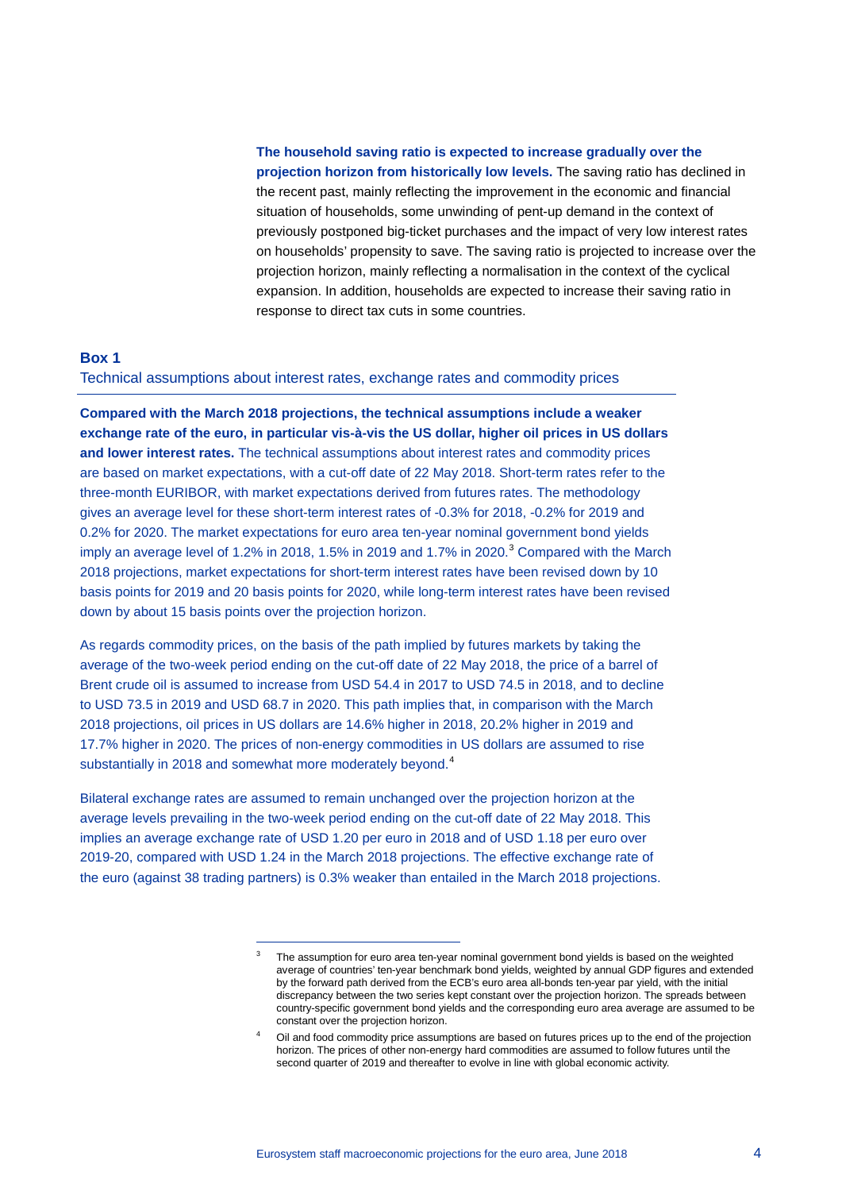**The household saving ratio is expected to increase gradually over the projection horizon from historically low levels.** The saving ratio has declined in the recent past, mainly reflecting the improvement in the economic and financial situation of households, some unwinding of pent-up demand in the context of previously postponed big-ticket purchases and the impact of very low interest rates on households' propensity to save. The saving ratio is projected to increase over the projection horizon, mainly reflecting a normalisation in the context of the cyclical expansion. In addition, households are expected to increase their saving ratio in response to direct tax cuts in some countries.

#### **Box 1**

Technical assumptions about interest rates, exchange rates and commodity prices

**Compared with the March 2018 projections, the technical assumptions include a weaker exchange rate of the euro, in particular vis-à-vis the US dollar, higher oil prices in US dollars and lower interest rates.** The technical assumptions about interest rates and commodity prices are based on market expectations, with a cut-off date of 22 May 2018. Short-term rates refer to the three-month EURIBOR, with market expectations derived from futures rates. The methodology gives an average level for these short-term interest rates of -0.3% for 2018, -0.2% for 2019 and 0.2% for 2020. The market expectations for euro area ten-year nominal government bond yields imply an average level of 1.2% in 2018, 1.5% in 2019 and 1.7% in 2020.<sup>[3](#page-3-0)</sup> Compared with the March 2018 projections, market expectations for short-term interest rates have been revised down by 10 basis points for 2019 and 20 basis points for 2020, while long-term interest rates have been revised down by about 15 basis points over the projection horizon.

As regards commodity prices, on the basis of the path implied by futures markets by taking the average of the two-week period ending on the cut-off date of 22 May 2018, the price of a barrel of Brent crude oil is assumed to increase from USD 54.4 in 2017 to USD 74.5 in 2018, and to decline to USD 73.5 in 2019 and USD 68.7 in 2020. This path implies that, in comparison with the March 2018 projections, oil prices in US dollars are 14.6% higher in 2018, 20.2% higher in 2019 and 17.7% higher in 2020. The prices of non-energy commodities in US dollars are assumed to rise substantially in 2018 and somewhat more moderately beyond.<sup>[4](#page-3-1)</sup>

<span id="page-3-1"></span><span id="page-3-0"></span>Bilateral exchange rates are assumed to remain unchanged over the projection horizon at the average levels prevailing in the two-week period ending on the cut-off date of 22 May 2018. This implies an average exchange rate of USD 1.20 per euro in 2018 and of USD 1.18 per euro over 2019-20, compared with USD 1.24 in the March 2018 projections. The effective exchange rate of the euro (against 38 trading partners) is 0.3% weaker than entailed in the March 2018 projections.

-

The assumption for euro area ten-year nominal government bond yields is based on the weighted average of countries' ten-year benchmark bond yields, weighted by annual GDP figures and extended by the forward path derived from the ECB's euro area all-bonds ten-year par yield, with the initial discrepancy between the two series kept constant over the projection horizon. The spreads between country-specific government bond yields and the corresponding euro area average are assumed to be constant over the projection horizon.

Oil and food commodity price assumptions are based on futures prices up to the end of the projection horizon. The prices of other non-energy hard commodities are assumed to follow futures until the second quarter of 2019 and thereafter to evolve in line with global economic activity.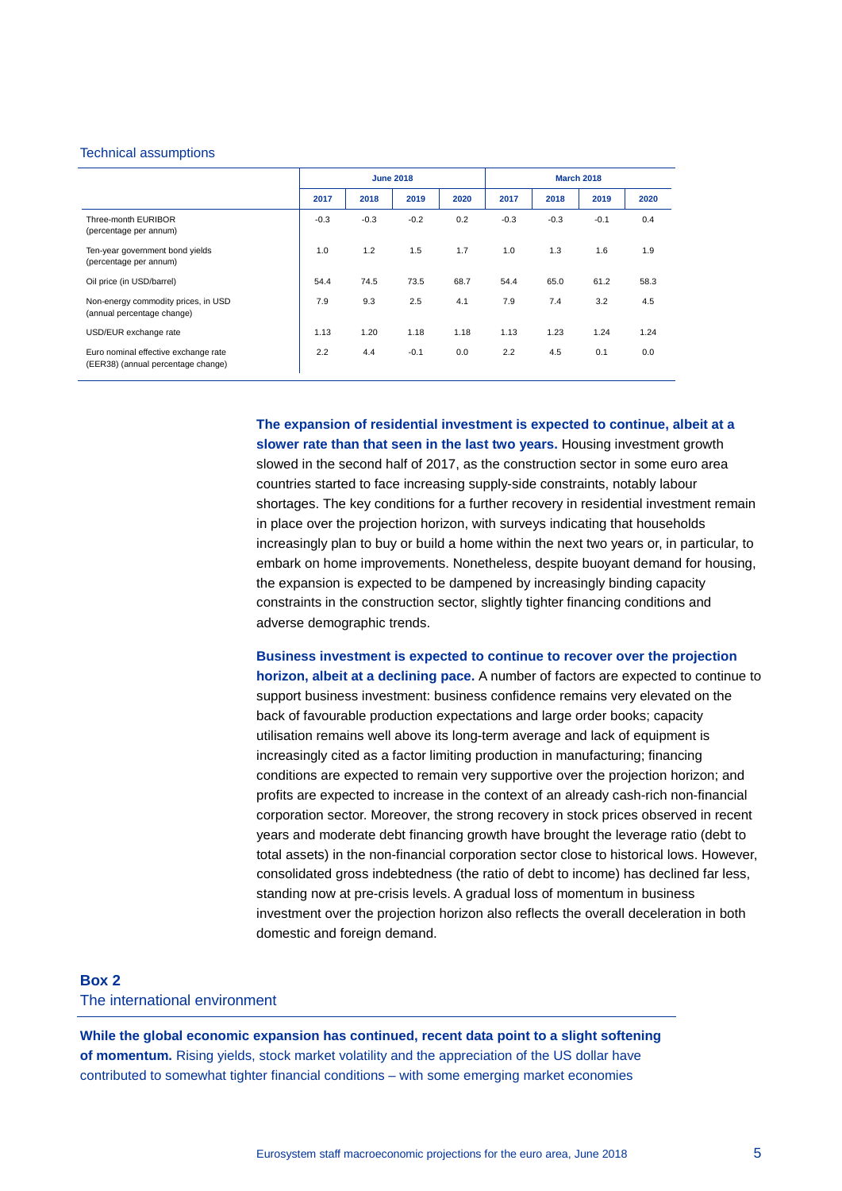#### Technical assumptions

|                                                                            | <b>June 2018</b> |        |        |      | <b>March 2018</b> |        |        |      |
|----------------------------------------------------------------------------|------------------|--------|--------|------|-------------------|--------|--------|------|
|                                                                            | 2017             | 2018   | 2019   | 2020 | 2017              | 2018   | 2019   | 2020 |
| Three-month EURIBOR<br>(percentage per annum)                              | $-0.3$           | $-0.3$ | $-0.2$ | 0.2  | $-0.3$            | $-0.3$ | $-0.1$ | 0.4  |
| Ten-year government bond yields<br>(percentage per annum)                  | 1.0              | 1.2    | 1.5    | 1.7  | 1.0               | 1.3    | 1.6    | 1.9  |
| Oil price (in USD/barrel)                                                  | 54.4             | 74.5   | 73.5   | 68.7 | 54.4              | 65.0   | 61.2   | 58.3 |
| Non-energy commodity prices, in USD<br>(annual percentage change)          | 7.9              | 9.3    | 2.5    | 4.1  | 7.9               | 7.4    | 3.2    | 4.5  |
| USD/EUR exchange rate                                                      | 1.13             | 1.20   | 1.18   | 1.18 | 1.13              | 1.23   | 1.24   | 1.24 |
| Euro nominal effective exchange rate<br>(EER38) (annual percentage change) | 2.2              | 4.4    | $-0.1$ | 0.0  | 2.2               | 4.5    | 0.1    | 0.0  |

**The expansion of residential investment is expected to continue, albeit at a slower rate than that seen in the last two years.** Housing investment growth slowed in the second half of 2017, as the construction sector in some euro area countries started to face increasing supply-side constraints, notably labour shortages. The key conditions for a further recovery in residential investment remain in place over the projection horizon, with surveys indicating that households increasingly plan to buy or build a home within the next two years or, in particular, to embark on home improvements. Nonetheless, despite buoyant demand for housing, the expansion is expected to be dampened by increasingly binding capacity constraints in the construction sector, slightly tighter financing conditions and adverse demographic trends.

**Business investment is expected to continue to recover over the projection horizon, albeit at a declining pace.** A number of factors are expected to continue to support business investment: business confidence remains very elevated on the back of favourable production expectations and large order books; capacity utilisation remains well above its long-term average and lack of equipment is increasingly cited as a factor limiting production in manufacturing; financing conditions are expected to remain very supportive over the projection horizon; and profits are expected to increase in the context of an already cash-rich non-financial corporation sector. Moreover, the strong recovery in stock prices observed in recent years and moderate debt financing growth have brought the leverage ratio (debt to total assets) in the non-financial corporation sector close to historical lows. However, consolidated gross indebtedness (the ratio of debt to income) has declined far less, standing now at pre-crisis levels. A gradual loss of momentum in business investment over the projection horizon also reflects the overall deceleration in both domestic and foreign demand.

# **Box 2** The international environment

**While the global economic expansion has continued, recent data point to a slight softening of momentum.** Rising yields, stock market volatility and the appreciation of the US dollar have contributed to somewhat tighter financial conditions – with some emerging market economies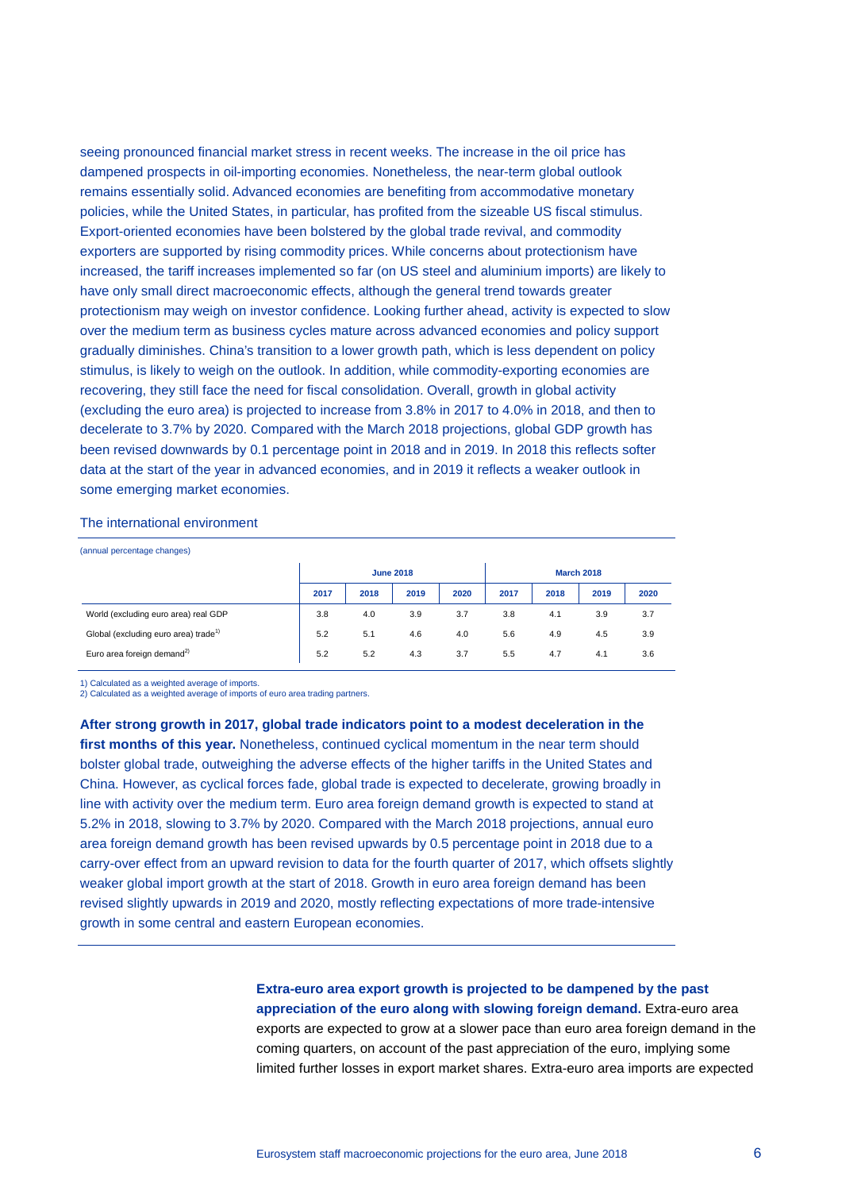seeing pronounced financial market stress in recent weeks. The increase in the oil price has dampened prospects in oil-importing economies. Nonetheless, the near-term global outlook remains essentially solid. Advanced economies are benefiting from accommodative monetary policies, while the United States, in particular, has profited from the sizeable US fiscal stimulus. Export-oriented economies have been bolstered by the global trade revival, and commodity exporters are supported by rising commodity prices. While concerns about protectionism have increased, the tariff increases implemented so far (on US steel and aluminium imports) are likely to have only small direct macroeconomic effects, although the general trend towards greater protectionism may weigh on investor confidence. Looking further ahead, activity is expected to slow over the medium term as business cycles mature across advanced economies and policy support gradually diminishes. China's transition to a lower growth path, which is less dependent on policy stimulus, is likely to weigh on the outlook. In addition, while commodity-exporting economies are recovering, they still face the need for fiscal consolidation. Overall, growth in global activity (excluding the euro area) is projected to increase from 3.8% in 2017 to 4.0% in 2018, and then to decelerate to 3.7% by 2020. Compared with the March 2018 projections, global GDP growth has been revised downwards by 0.1 percentage point in 2018 and in 2019. In 2018 this reflects softer data at the start of the year in advanced economies, and in 2019 it reflects a weaker outlook in some emerging market economies.

#### The international environment

(annual percentage changes) **June 2018 March 2018 2017 2018 2019 2020 2017 2018 2019 2020** World (excluding euro area) real GDP 3.8 4.0 3.9 3.7 3.8 4.1 3.9 3.7 Global (excluding euro area) trade<sup>1)</sup> 5.2 5.1 4.6 4.0 5.6 4.9 4.5 3.9 Euro area foreign demand2) 5.2 5.2 4.3 3.7 5.5 4.7 4.1 3.6

1) Calculated as a weighted average of imports.

2) Calculated as a weighted average of imports of euro area trading partners.

**After strong growth in 2017, global trade indicators point to a modest deceleration in the**  first months of this year. Nonetheless, continued cyclical momentum in the near term should bolster global trade, outweighing the adverse effects of the higher tariffs in the United States and China. However, as cyclical forces fade, global trade is expected to decelerate, growing broadly in line with activity over the medium term. Euro area foreign demand growth is expected to stand at 5.2% in 2018, slowing to 3.7% by 2020. Compared with the March 2018 projections, annual euro area foreign demand growth has been revised upwards by 0.5 percentage point in 2018 due to a carry-over effect from an upward revision to data for the fourth quarter of 2017, which offsets slightly weaker global import growth at the start of 2018. Growth in euro area foreign demand has been revised slightly upwards in 2019 and 2020, mostly reflecting expectations of more trade-intensive growth in some central and eastern European economies.

> **Extra-euro area export growth is projected to be dampened by the past appreciation of the euro along with slowing foreign demand.** Extra-euro area exports are expected to grow at a slower pace than euro area foreign demand in the coming quarters, on account of the past appreciation of the euro, implying some limited further losses in export market shares. Extra-euro area imports are expected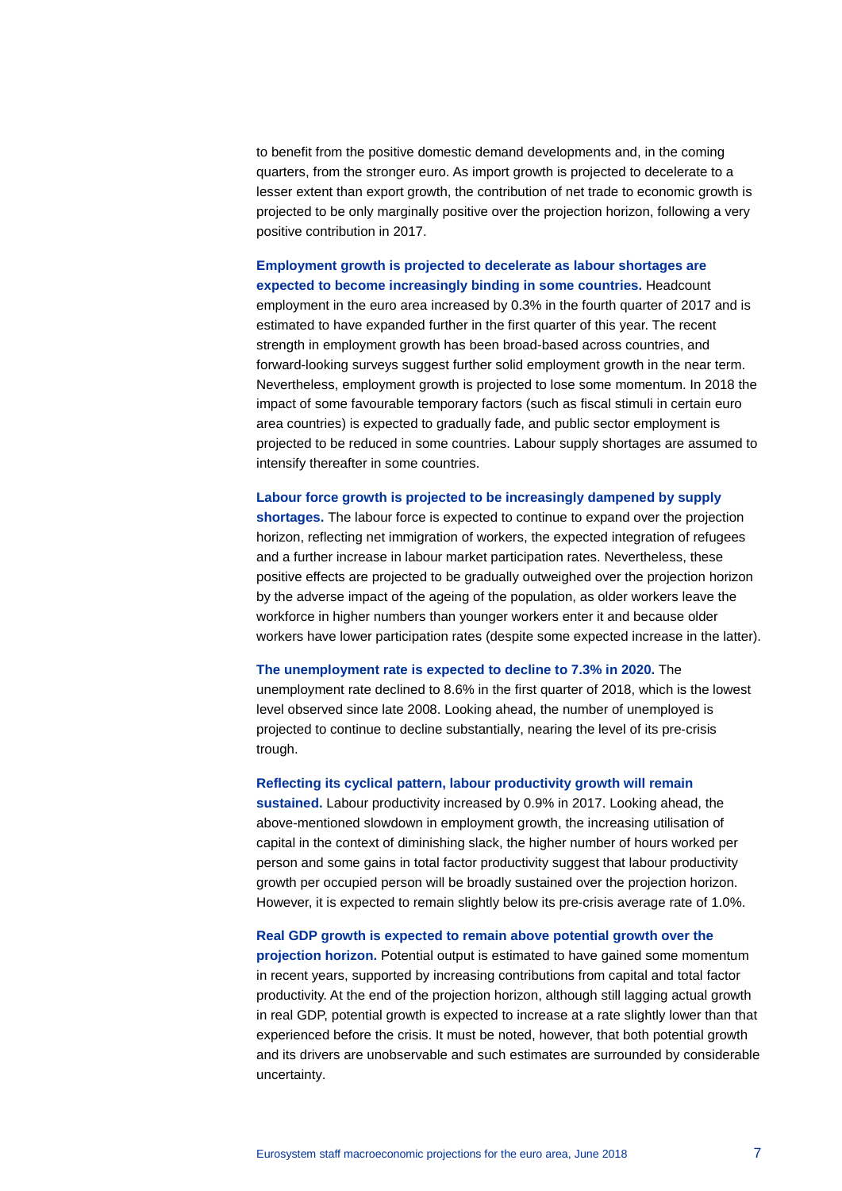to benefit from the positive domestic demand developments and, in the coming quarters, from the stronger euro. As import growth is projected to decelerate to a lesser extent than export growth, the contribution of net trade to economic growth is projected to be only marginally positive over the projection horizon, following a very positive contribution in 2017.

### **Employment growth is projected to decelerate as labour shortages are expected to become increasingly binding in some countries.** Headcount

employment in the euro area increased by 0.3% in the fourth quarter of 2017 and is estimated to have expanded further in the first quarter of this year. The recent strength in employment growth has been broad-based across countries, and forward-looking surveys suggest further solid employment growth in the near term. Nevertheless, employment growth is projected to lose some momentum. In 2018 the impact of some favourable temporary factors (such as fiscal stimuli in certain euro area countries) is expected to gradually fade, and public sector employment is projected to be reduced in some countries. Labour supply shortages are assumed to intensify thereafter in some countries.

# **Labour force growth is projected to be increasingly dampened by supply shortages.** The labour force is expected to continue to expand over the projection horizon, reflecting net immigration of workers, the expected integration of refugees and a further increase in labour market participation rates. Nevertheless, these positive effects are projected to be gradually outweighed over the projection horizon by the adverse impact of the ageing of the population, as older workers leave the workforce in higher numbers than younger workers enter it and because older workers have lower participation rates (despite some expected increase in the latter).

# **The unemployment rate is expected to decline to 7.3% in 2020.** The unemployment rate declined to 8.6% in the first quarter of 2018, which is the lowest level observed since late 2008. Looking ahead, the number of unemployed is projected to continue to decline substantially, nearing the level of its pre-crisis trough.

#### **Reflecting its cyclical pattern, labour productivity growth will remain**

**sustained.** Labour productivity increased by 0.9% in 2017. Looking ahead, the above-mentioned slowdown in employment growth, the increasing utilisation of capital in the context of diminishing slack, the higher number of hours worked per person and some gains in total factor productivity suggest that labour productivity growth per occupied person will be broadly sustained over the projection horizon. However, it is expected to remain slightly below its pre-crisis average rate of 1.0%.

#### **Real GDP growth is expected to remain above potential growth over the**

**projection horizon.** Potential output is estimated to have gained some momentum in recent years, supported by increasing contributions from capital and total factor productivity. At the end of the projection horizon, although still lagging actual growth in real GDP, potential growth is expected to increase at a rate slightly lower than that experienced before the crisis. It must be noted, however, that both potential growth and its drivers are unobservable and such estimates are surrounded by considerable uncertainty.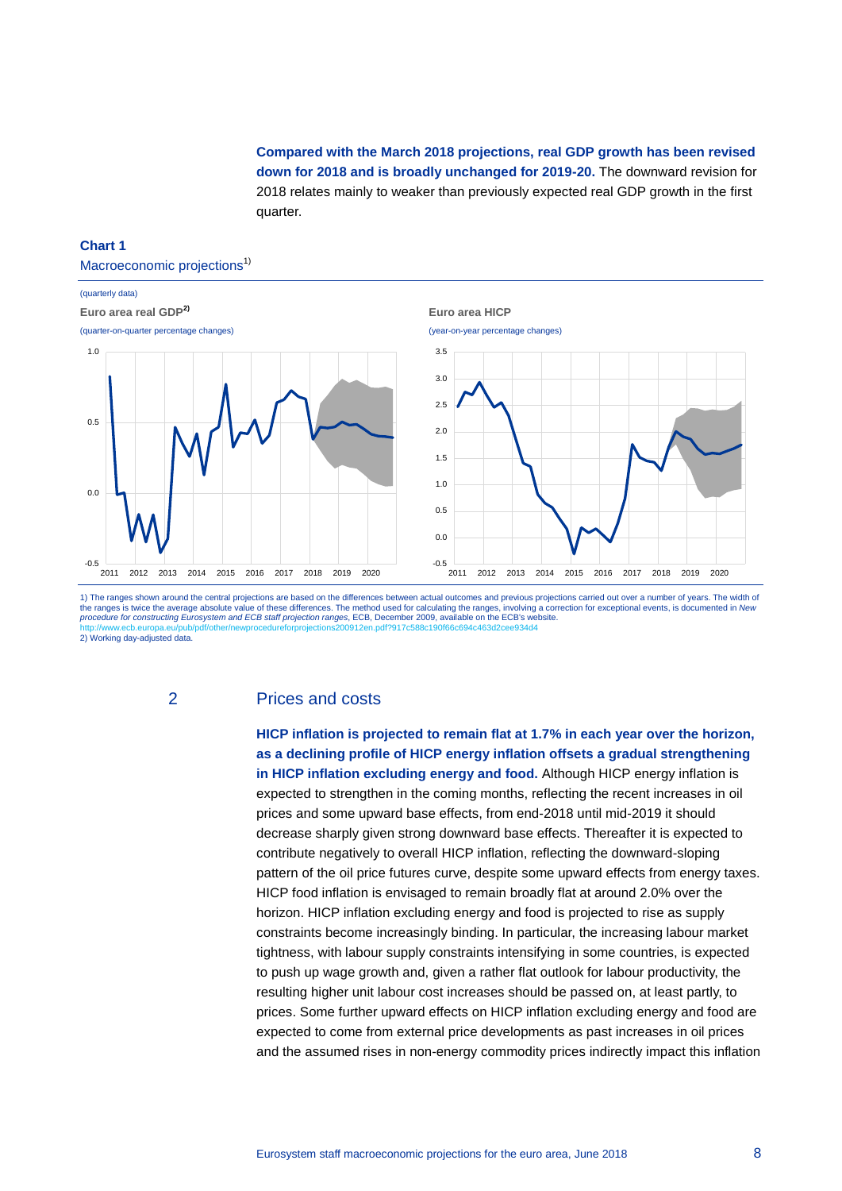**Compared with the March 2018 projections, real GDP growth has been revised down for 2018 and is broadly unchanged for 2019-20.** The downward revision for 2018 relates mainly to weaker than previously expected real GDP growth in the first quarter.

#### **Chart 1**

#### Macroeconomic projections<sup>1)</sup>



1) The ranges shown around the central projections are based on the differences between actual outcomes and previous projections carried out over a number of years. The width of the ranges is twice the average absolute value of these differences. The method used for calculating the ranges, involving a correction for exceptional events, is documented in *New procedure for constructing Eurosystem and ECB staff projection ranges*, ECB, December 2009, available on the ECB's website. <http://www.ecb.europa.eu/pub/pdf/other/newprocedureforprojections200912en.pdf?917c588c190f66c694c463d2cee934d4> 2) Working day-adjusted data

# 2 Prices and costs

**HICP inflation is projected to remain flat at 1.7% in each year over the horizon, as a declining profile of HICP energy inflation offsets a gradual strengthening in HICP inflation excluding energy and food.** Although HICP energy inflation is expected to strengthen in the coming months, reflecting the recent increases in oil prices and some upward base effects, from end-2018 until mid-2019 it should decrease sharply given strong downward base effects. Thereafter it is expected to contribute negatively to overall HICP inflation, reflecting the downward-sloping pattern of the oil price futures curve, despite some upward effects from energy taxes. HICP food inflation is envisaged to remain broadly flat at around 2.0% over the horizon. HICP inflation excluding energy and food is projected to rise as supply constraints become increasingly binding. In particular, the increasing labour market tightness, with labour supply constraints intensifying in some countries, is expected to push up wage growth and, given a rather flat outlook for labour productivity, the resulting higher unit labour cost increases should be passed on, at least partly, to prices. Some further upward effects on HICP inflation excluding energy and food are expected to come from external price developments as past increases in oil prices and the assumed rises in non-energy commodity prices indirectly impact this inflation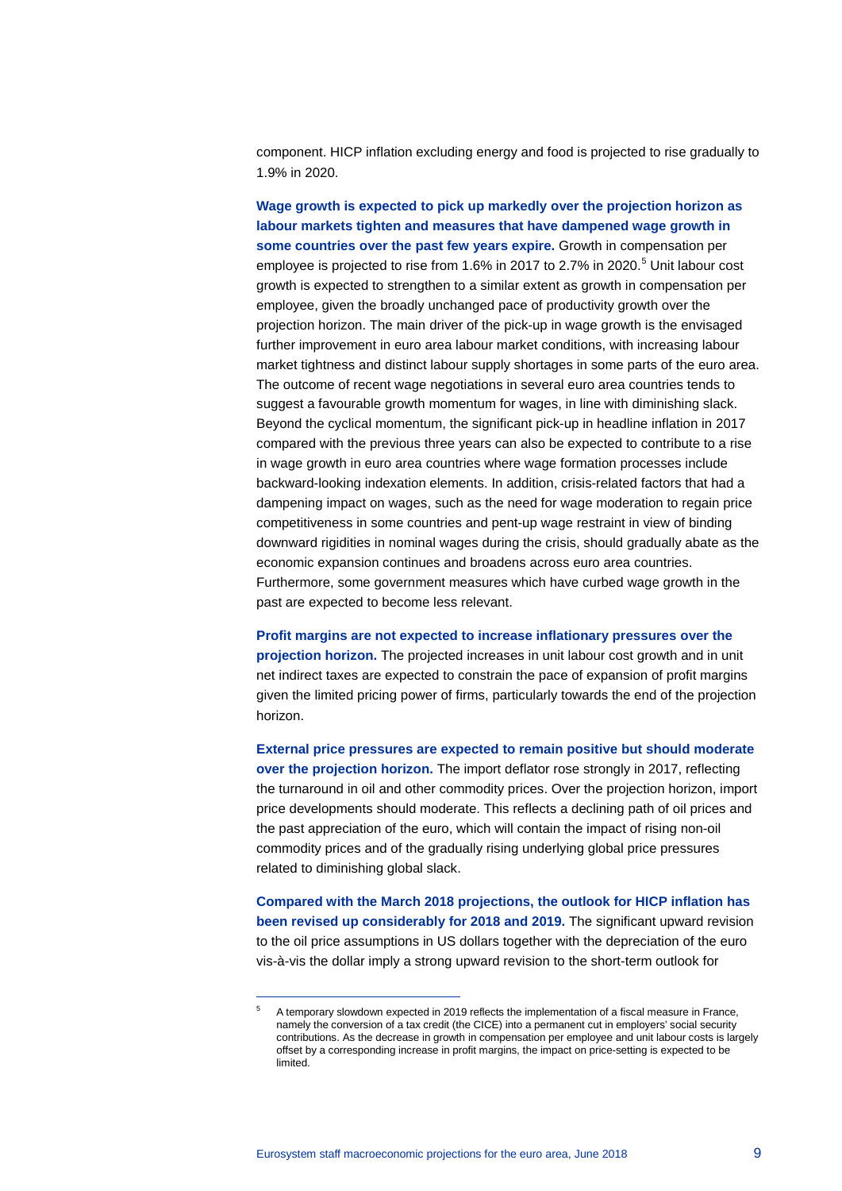component. HICP inflation excluding energy and food is projected to rise gradually to 1.9% in 2020.

**Wage growth is expected to pick up markedly over the projection horizon as labour markets tighten and measures that have dampened wage growth in some countries over the past few years expire.** Growth in compensation per employee is projected to rise from 1.6% in 2017 to 2.7% in 2020. [5](#page-8-0) Unit labour cost growth is expected to strengthen to a similar extent as growth in compensation per employee, given the broadly unchanged pace of productivity growth over the projection horizon. The main driver of the pick-up in wage growth is the envisaged further improvement in euro area labour market conditions, with increasing labour market tightness and distinct labour supply shortages in some parts of the euro area. The outcome of recent wage negotiations in several euro area countries tends to suggest a favourable growth momentum for wages, in line with diminishing slack. Beyond the cyclical momentum, the significant pick-up in headline inflation in 2017 compared with the previous three years can also be expected to contribute to a rise in wage growth in euro area countries where wage formation processes include backward-looking indexation elements. In addition, crisis-related factors that had a dampening impact on wages, such as the need for wage moderation to regain price competitiveness in some countries and pent-up wage restraint in view of binding downward rigidities in nominal wages during the crisis, should gradually abate as the economic expansion continues and broadens across euro area countries. Furthermore, some government measures which have curbed wage growth in the past are expected to become less relevant.

**Profit margins are not expected to increase inflationary pressures over the projection horizon.** The projected increases in unit labour cost growth and in unit net indirect taxes are expected to constrain the pace of expansion of profit margins given the limited pricing power of firms, particularly towards the end of the projection horizon.

**External price pressures are expected to remain positive but should moderate over the projection horizon.** The import deflator rose strongly in 2017, reflecting the turnaround in oil and other commodity prices. Over the projection horizon, import price developments should moderate. This reflects a declining path of oil prices and the past appreciation of the euro, which will contain the impact of rising non-oil commodity prices and of the gradually rising underlying global price pressures related to diminishing global slack.

**Compared with the March 2018 projections, the outlook for HICP inflation has been revised up considerably for 2018 and 2019.** The significant upward revision to the oil price assumptions in US dollars together with the depreciation of the euro vis-à-vis the dollar imply a strong upward revision to the short-term outlook for

-

<span id="page-8-0"></span><sup>5</sup> A temporary slowdown expected in 2019 reflects the implementation of a fiscal measure in France, namely the conversion of a tax credit (the CICE) into a permanent cut in employers' social security contributions. As the decrease in growth in compensation per employee and unit labour costs is largely offset by a corresponding increase in profit margins, the impact on price-setting is expected to be limited.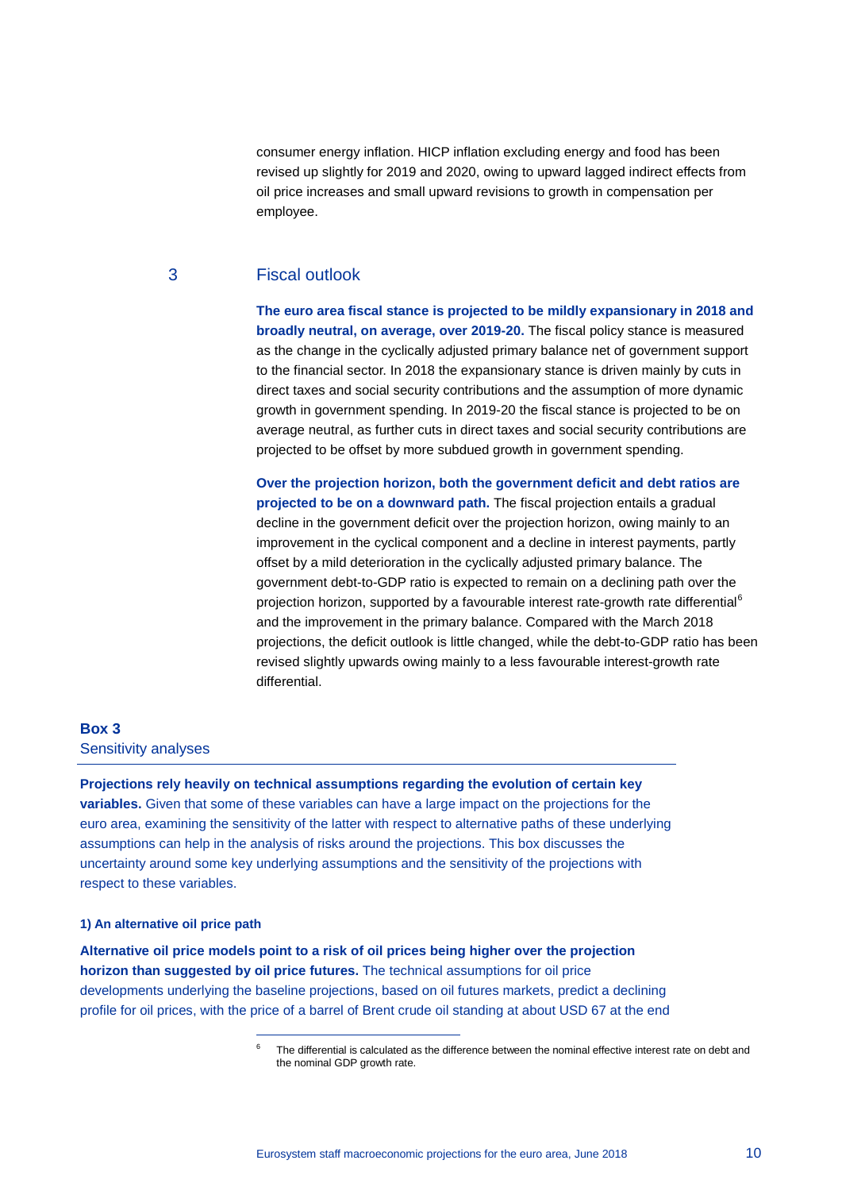consumer energy inflation. HICP inflation excluding energy and food has been revised up slightly for 2019 and 2020, owing to upward lagged indirect effects from oil price increases and small upward revisions to growth in compensation per employee.

# 3 Fiscal outlook

**The euro area fiscal stance is projected to be mildly expansionary in 2018 and broadly neutral, on average, over 2019-20.** The fiscal policy stance is measured as the change in the cyclically adjusted primary balance net of government support to the financial sector. In 2018 the expansionary stance is driven mainly by cuts in direct taxes and social security contributions and the assumption of more dynamic growth in government spending. In 2019-20 the fiscal stance is projected to be on average neutral, as further cuts in direct taxes and social security contributions are projected to be offset by more subdued growth in government spending.

**Over the projection horizon, both the government deficit and debt ratios are projected to be on a downward path.** The fiscal projection entails a gradual decline in the government deficit over the projection horizon, owing mainly to an improvement in the cyclical component and a decline in interest payments, partly offset by a mild deterioration in the cyclically adjusted primary balance. The government debt-to-GDP ratio is expected to remain on a declining path over the projection horizon, supported by a favourable interest rate-growth rate differential<sup>[6](#page-9-0)</sup> and the improvement in the primary balance. Compared with the March 2018 projections, the deficit outlook is little changed, while the debt-to-GDP ratio has been revised slightly upwards owing mainly to a less favourable interest-growth rate differential.

# **Box 3** Sensitivity analyses

**Projections rely heavily on technical assumptions regarding the evolution of certain key variables.** Given that some of these variables can have a large impact on the projections for the euro area, examining the sensitivity of the latter with respect to alternative paths of these underlying assumptions can help in the analysis of risks around the projections. This box discusses the uncertainty around some key underlying assumptions and the sensitivity of the projections with respect to these variables.

#### **1) An alternative oil price path**

-

<span id="page-9-0"></span>**Alternative oil price models point to a risk of oil prices being higher over the projection horizon than suggested by oil price futures.** The technical assumptions for oil price developments underlying the baseline projections, based on oil futures markets, predict a declining profile for oil prices, with the price of a barrel of Brent crude oil standing at about USD 67 at the end

The differential is calculated as the difference between the nominal effective interest rate on debt and the nominal GDP growth rate.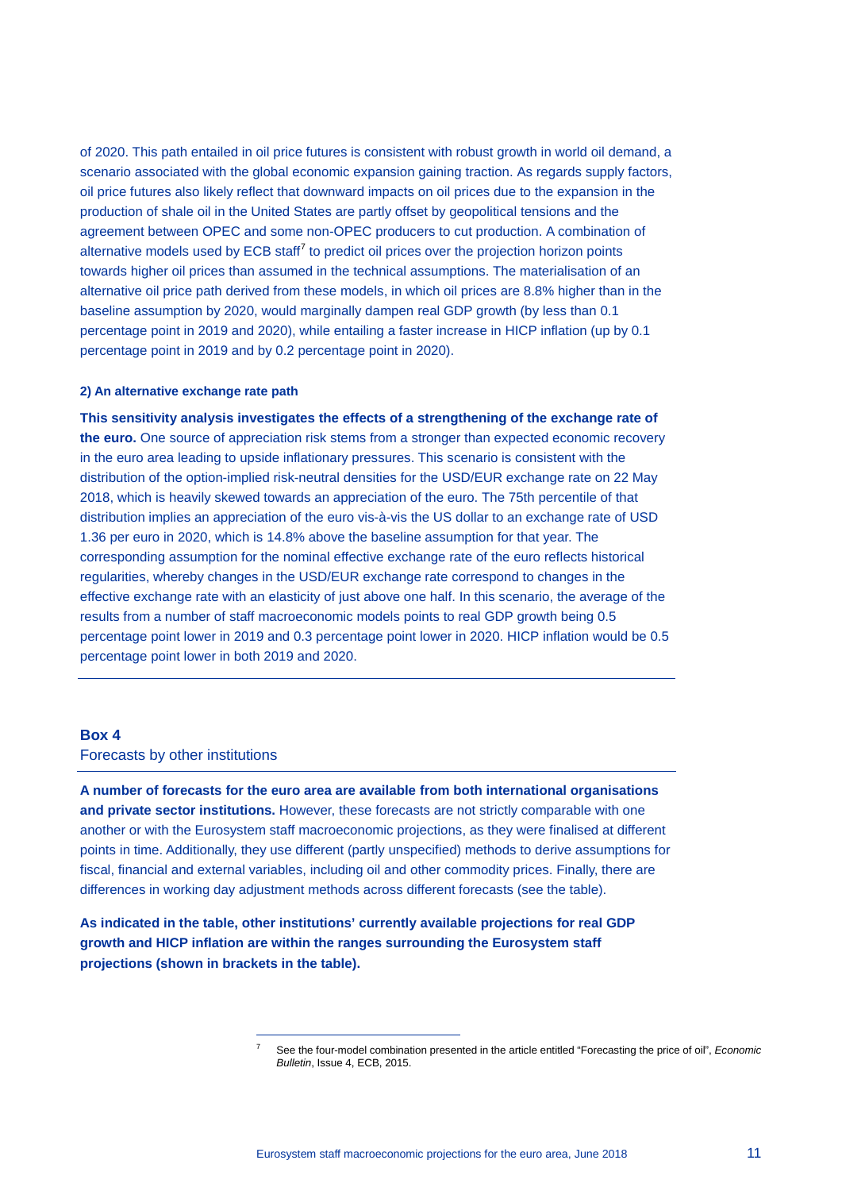of 2020. This path entailed in oil price futures is consistent with robust growth in world oil demand, a scenario associated with the global economic expansion gaining traction. As regards supply factors, oil price futures also likely reflect that downward impacts on oil prices due to the expansion in the production of shale oil in the United States are partly offset by geopolitical tensions and the agreement between OPEC and some non-OPEC producers to cut production. A combination of alternative models used by  $ECB$  staff<sup> $7$ </sup> to predict oil prices over the projection horizon points towards higher oil prices than assumed in the technical assumptions. The materialisation of an alternative oil price path derived from these models, in which oil prices are 8.8% higher than in the baseline assumption by 2020, would marginally dampen real GDP growth (by less than 0.1 percentage point in 2019 and 2020), while entailing a faster increase in HICP inflation (up by 0.1 percentage point in 2019 and by 0.2 percentage point in 2020).

#### **2) An alternative exchange rate path**

**This sensitivity analysis investigates the effects of a strengthening of the exchange rate of the euro.** One source of appreciation risk stems from a stronger than expected economic recovery in the euro area leading to upside inflationary pressures. This scenario is consistent with the distribution of the option-implied risk-neutral densities for the USD/EUR exchange rate on 22 May 2018, which is heavily skewed towards an appreciation of the euro. The 75th percentile of that distribution implies an appreciation of the euro vis-à-vis the US dollar to an exchange rate of USD 1.36 per euro in 2020, which is 14.8% above the baseline assumption for that year. The corresponding assumption for the nominal effective exchange rate of the euro reflects historical regularities, whereby changes in the USD/EUR exchange rate correspond to changes in the effective exchange rate with an elasticity of just above one half. In this scenario, the average of the results from a number of staff macroeconomic models points to real GDP growth being 0.5 percentage point lower in 2019 and 0.3 percentage point lower in 2020. HICP inflation would be 0.5 percentage point lower in both 2019 and 2020.

# **Box 4**

Forecasts by other institutions

**A number of forecasts for the euro area are available from both international organisations and private sector institutions.** However, these forecasts are not strictly comparable with one another or with the Eurosystem staff macroeconomic projections, as they were finalised at different points in time. Additionally, they use different (partly unspecified) methods to derive assumptions for fiscal, financial and external variables, including oil and other commodity prices. Finally, there are differences in working day adjustment methods across different forecasts (see the table).

<span id="page-10-0"></span>**As indicated in the table, other institutions' currently available projections for real GDP growth and HICP inflation are within the ranges surrounding the Eurosystem staff projections (shown in brackets in the table).**

-

<sup>7</sup> See the four-model combination presented in the article entitled "Forecasting the price of oil", *Economic Bulletin*, Issue 4, ECB, 2015.